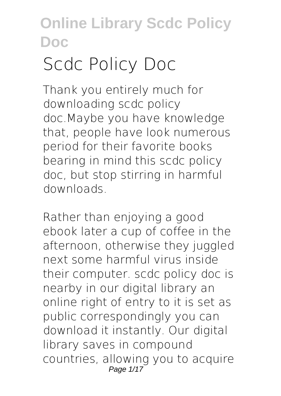# **Scdc Policy Doc**

Thank you entirely much for downloading **scdc policy doc**.Maybe you have knowledge that, people have look numerous period for their favorite books bearing in mind this scdc policy doc, but stop stirring in harmful downloads.

Rather than enjoying a good ebook later a cup of coffee in the afternoon, otherwise they juggled next some harmful virus inside their computer. **scdc policy doc** is nearby in our digital library an online right of entry to it is set as public correspondingly you can download it instantly. Our digital library saves in compound countries, allowing you to acquire Page 1/17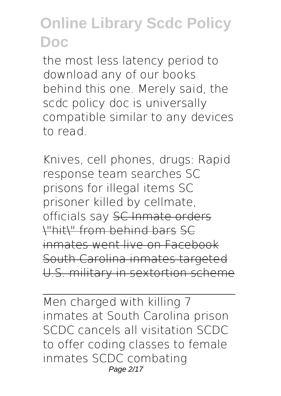the most less latency period to download any of our books behind this one. Merely said, the scdc policy doc is universally compatible similar to any devices to read.

*Knives, cell phones, drugs: Rapid response team searches SC prisons for illegal items* **SC prisoner killed by cellmate, officials say** SC Inmate orders \"hit\" from behind bars SC inmates went live on Facebook South Carolina inmates targeted U.S. military in sextortion scheme

Men charged with killing 7 inmates at South Carolina prison *SCDC cancels all visitation SCDC to offer coding classes to female inmates SCDC combating* Page 2/17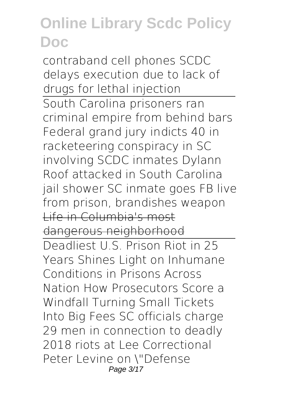*contraband cell phones SCDC delays execution due to lack of drugs for lethal injection* South Carolina prisoners ran criminal empire from behind bars *Federal grand jury indicts 40 in racketeering conspiracy in SC involving SCDC inmates Dylann Roof attacked in South Carolina jail shower SC inmate goes FB live from prison, brandishes weapon* Life in Columbia's most dangerous neighborhood Deadliest U.S. Prison Riot in 25 Years Shines Light on Inhumane Conditions in Prisons Across Nation How Prosecutors Score a Windfall Turning Small Tickets Into Big Fees SC officials charge 29 men in connection to deadly 2018 riots at Lee Correctional *Peter Levine on \"Defense* Page 3/17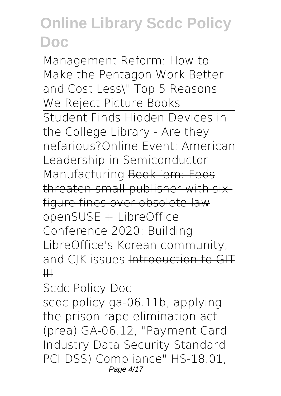*Management Reform: How to Make the Pentagon Work Better and Cost Less\" Top 5 Reasons We Reject Picture Books* Student Finds Hidden Devices in the College Library - Are they nefarious?**Online Event: American Leadership in Semiconductor Manufacturing** Book 'em: Feds threaten small publisher with sixfigure fines over obsolete law **openSUSE + LibreOffice Conference 2020: Building LibreOffice's Korean community, and CJK issues** Introduction to GIT  $\downarrow \downarrow \downarrow$ 

Scdc Policy Doc

scdc policy ga-06.11b, applying the prison rape elimination act (prea) GA-06.12, "Payment Card Industry Data Security Standard PCI DSS) Compliance" HS-18.01, Page 4/17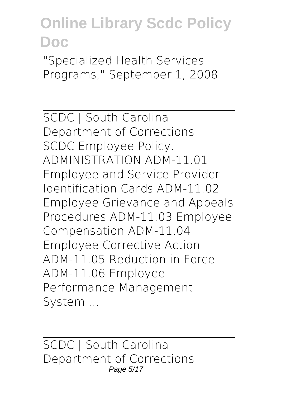"Specialized Health Services Programs," September 1, 2008

SCDC | South Carolina Department of Corrections SCDC Employee Policy. ADMINISTRATION ADM-11.01 Employee and Service Provider Identification Cards ADM-11.02 Employee Grievance and Appeals Procedures ADM-11.03 Employee Compensation ADM-11.04 Employee Corrective Action ADM-11.05 Reduction in Force ADM-11.06 Employee Performance Management System ...

SCDC | South Carolina Department of Corrections Page 5/17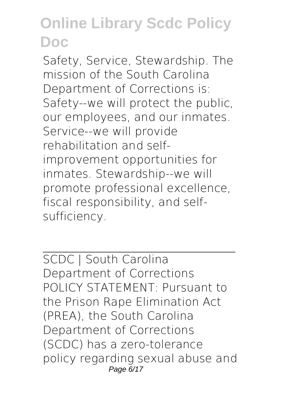Safety, Service, Stewardship. The mission of the South Carolina Department of Corrections is: Safety--we will protect the public, our employees, and our inmates. Service--we will provide rehabilitation and selfimprovement opportunities for inmates. Stewardship--we will promote professional excellence, fiscal responsibility, and selfsufficiency.

SCDC | South Carolina Department of Corrections POLICY STATEMENT: Pursuant to the Prison Rape Elimination Act (PREA), the South Carolina Department of Corrections (SCDC) has a zero-tolerance policy regarding sexual abuse and Page 6/17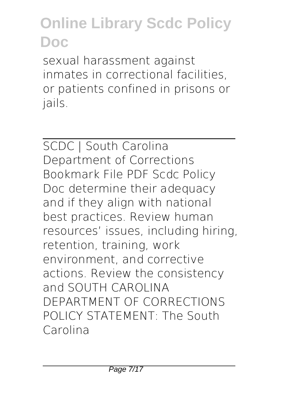sexual harassment against inmates in correctional facilities, or patients confined in prisons or jails.

SCDC | South Carolina Department of Corrections Bookmark File PDF Scdc Policy Doc determine their adequacy and if they align with national best practices. Review human resources' issues, including hiring, retention, training, work environment, and corrective actions. Review the consistency and SOUTH CAROLINA DEPARTMENT OF CORRECTIONS POLICY STATEMENT: The South Carolina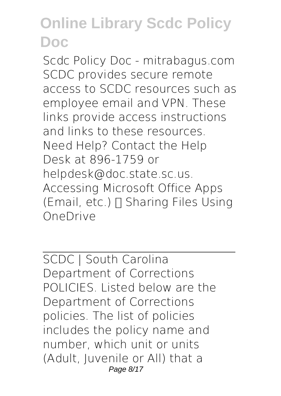Scdc Policy Doc - mitrabagus.com SCDC provides secure remote access to SCDC resources such as employee email and VPN. These links provide access instructions and links to these resources. Need Help? Contact the Help Desk at 896-1759 or helpdesk@doc.state.sc.us. Accessing Microsoft Office Apps (Email, etc.)  $\Box$  Sharing Files Using OneDrive

SCDC | South Carolina Department of Corrections POLICIES. Listed below are the Department of Corrections policies. The list of policies includes the policy name and number, which unit or units (Adult, Juvenile or All) that a Page 8/17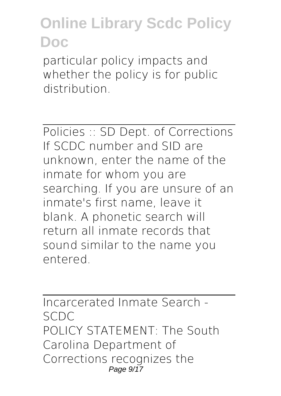particular policy impacts and whether the policy is for public distribution.

Policies :: SD Dept. of Corrections If SCDC number and SID are unknown, enter the name of the inmate for whom you are searching. If you are unsure of an inmate's first name, leave it blank. A phonetic search will return all inmate records that sound similar to the name you entered.

Incarcerated Inmate Search - SCDC POLICY STATEMENT: The South Carolina Department of Corrections recognizes the Page  $9/17$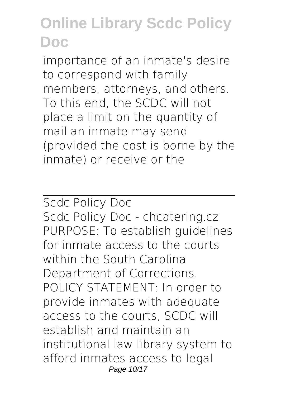importance of an inmate's desire to correspond with family members, attorneys, and others. To this end, the SCDC will not place a limit on the quantity of mail an inmate may send (provided the cost is borne by the inmate) or receive or the

Scdc Policy Doc Scdc Policy Doc - chcatering.cz PURPOSE: To establish guidelines for inmate access to the courts within the South Carolina Department of Corrections. POLICY STATEMENT: In order to provide inmates with adequate access to the courts, SCDC will establish and maintain an institutional law library system to afford inmates access to legal Page 10/17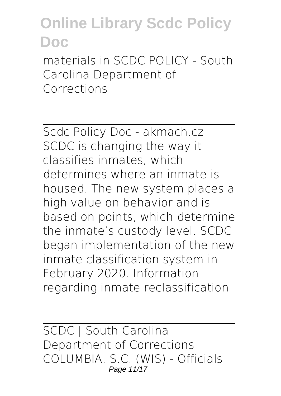materials in SCDC POLICY - South Carolina Department of Corrections

Scdc Policy Doc - akmach.cz SCDC is changing the way it classifies inmates, which determines where an inmate is housed. The new system places a high value on behavior and is based on points, which determine the inmate's custody level. SCDC began implementation of the new inmate classification system in February 2020. Information regarding inmate reclassification

SCDC | South Carolina Department of Corrections COLUMBIA, S.C. (WIS) - Officials Page 11/17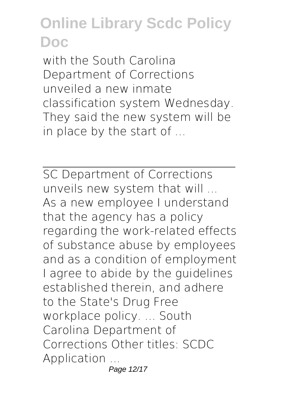with the South Carolina Department of Corrections unveiled a new inmate classification system Wednesday. They said the new system will be in place by the start of ...

SC Department of Corrections unveils new system that will ... As a new employee I understand that the agency has a policy regarding the work-related effects of substance abuse by employees and as a condition of employment I agree to abide by the guidelines established therein, and adhere to the State's Drug Free workplace policy. ... South Carolina Department of Corrections Other titles: SCDC Application ... Page 12/17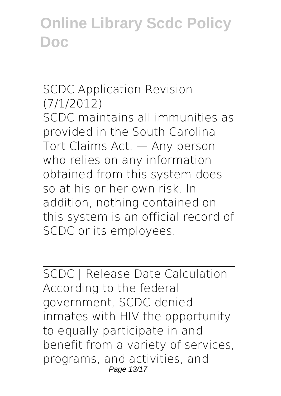#### SCDC Application Revision (7/1/2012)

SCDC maintains all immunities as provided in the South Carolina Tort Claims Act. — Any person who relies on any information obtained from this system does so at his or her own risk. In addition, nothing contained on this system is an official record of SCDC or its employees.

SCDC | Release Date Calculation According to the federal government, SCDC denied inmates with HIV the opportunity to equally participate in and benefit from a variety of services, programs, and activities, and Page 13/17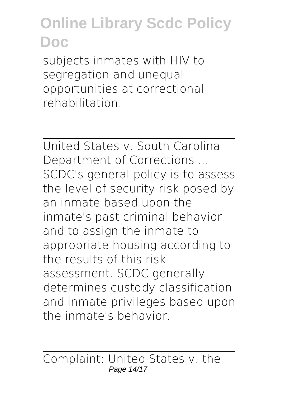subjects inmates with HIV to segregation and unequal opportunities at correctional rehabilitation.

United States v. South Carolina Department of Corrections ... SCDC's general policy is to assess the level of security risk posed by an inmate based upon the inmate's past criminal behavior and to assign the inmate to appropriate housing according to the results of this risk assessment. SCDC generally determines custody classification and inmate privileges based upon the inmate's behavior.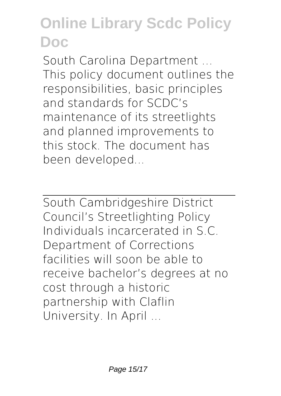South Carolina Department ... This policy document outlines the responsibilities, basic principles and standards for SCDC's maintenance of its streetlights and planned improvements to this stock. The document has been developed...

South Cambridgeshire District Council's Streetlighting Policy Individuals incarcerated in S.C. Department of Corrections facilities will soon be able to receive bachelor's degrees at no cost through a historic partnership with Claflin University. In April ...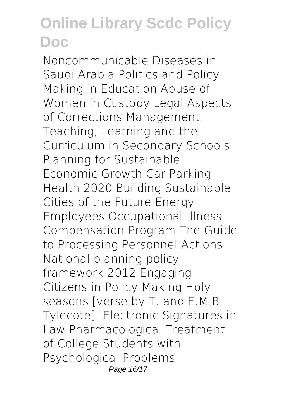Noncommunicable Diseases in Saudi Arabia Politics and Policy Making in Education Abuse of Women in Custody Legal Aspects of Corrections Management Teaching, Learning and the Curriculum in Secondary Schools Planning for Sustainable Economic Growth Car Parking Health 2020 Building Sustainable Cities of the Future Energy Employees Occupational Illness Compensation Program The Guide to Processing Personnel Actions National planning policy framework 2012 Engaging Citizens in Policy Making Holy seasons [verse by T. and E.M.B. Tylecote]. Electronic Signatures in Law Pharmacological Treatment of College Students with Psychological Problems Page 16/17